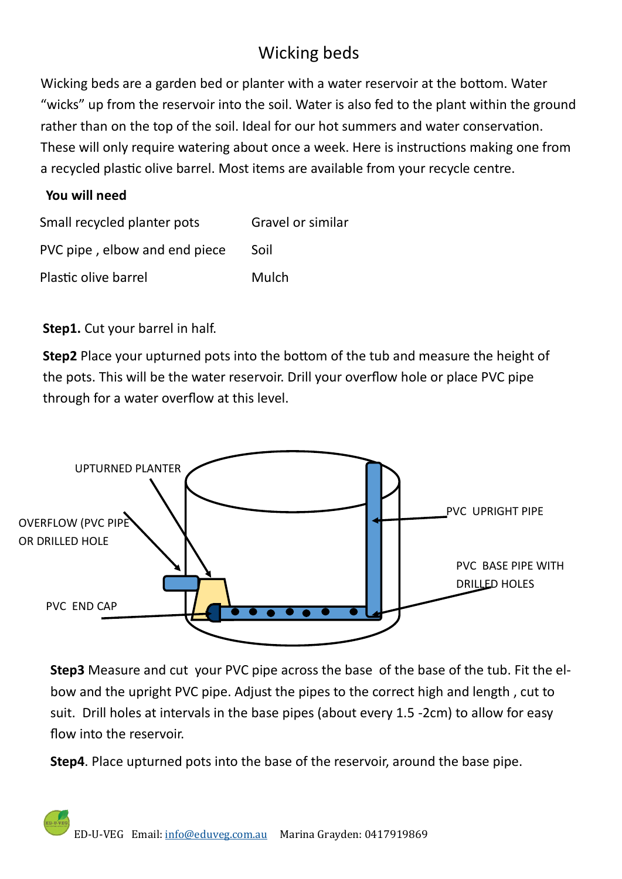## Wicking beds

Wicking beds are a garden bed or planter with a water reservoir at the bottom. Water "wicks" up from the reservoir into the soil. Water is also fed to the plant within the ground rather than on the top of the soil. Ideal for our hot summers and water conservation. These will only require watering about once a week. Here is instructions making one from a recycled plastic olive barrel. Most items are available from your recycle centre.

## **You will need**

| Small recycled planter pots   | Gravel or similar |
|-------------------------------|-------------------|
| PVC pipe, elbow and end piece | Soil              |
| Plastic olive barrel          | Mulch             |

**Step1.** Cut your barrel in half.

**Step2** Place your upturned pots into the bottom of the tub and measure the height of the pots. This will be the water reservoir. Drill your overflow hole or place PVC pipe through for a water overflow at this level.



**Step3** Measure and cut your PVC pipe across the base of the base of the tub. Fit the elbow and the upright PVC pipe. Adjust the pipes to the correct high and length , cut to suit. Drill holes at intervals in the base pipes (about every 1.5 -2cm) to allow for easy flow into the reservoir.

**Step4**. Place upturned pots into the base of the reservoir, around the base pipe.